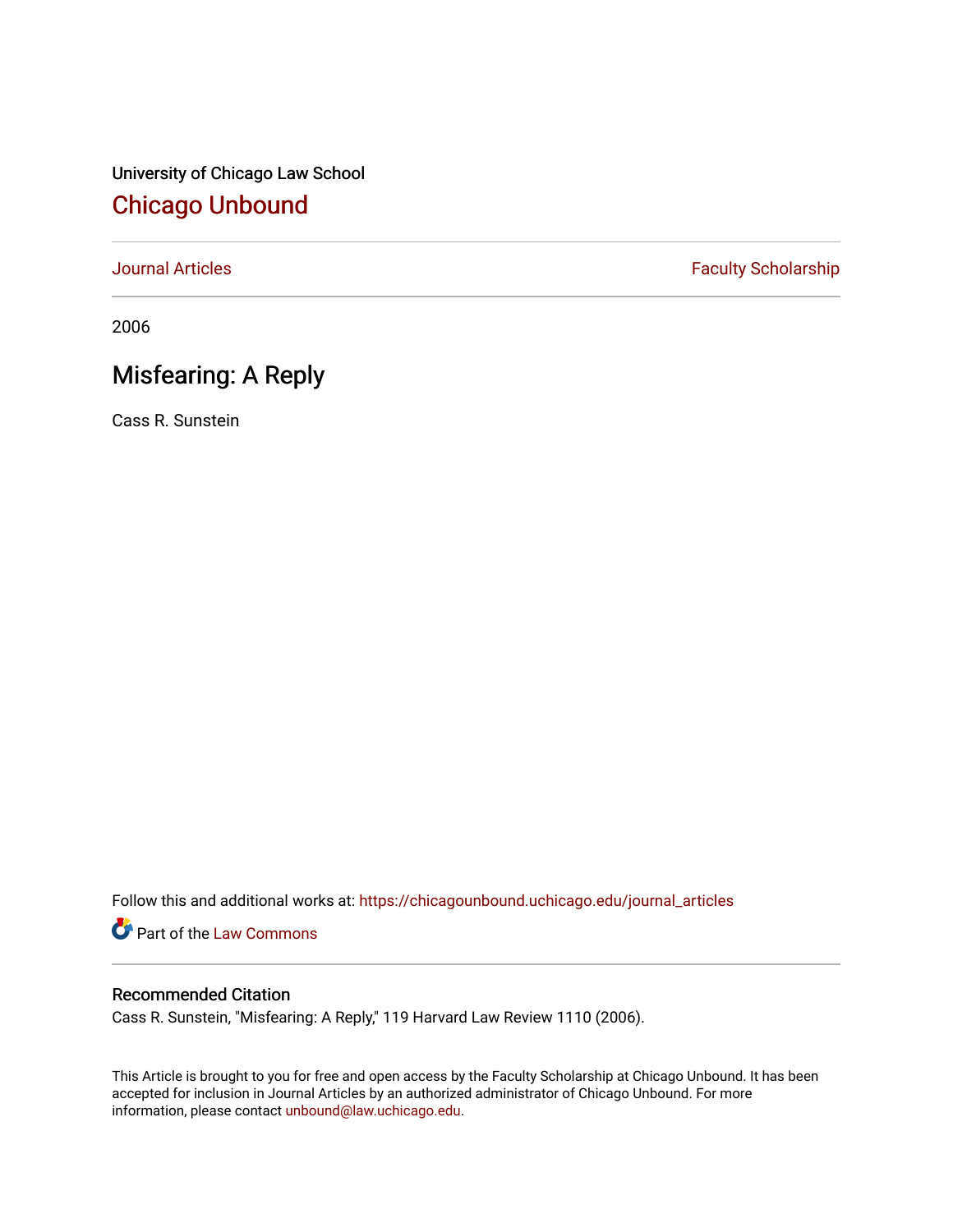University of Chicago Law School [Chicago Unbound](https://chicagounbound.uchicago.edu/)

[Journal Articles](https://chicagounbound.uchicago.edu/journal_articles) **Faculty Scholarship Faculty Scholarship** 

2006

# Misfearing: A Reply

Cass R. Sunstein

Follow this and additional works at: [https://chicagounbound.uchicago.edu/journal\\_articles](https://chicagounbound.uchicago.edu/journal_articles?utm_source=chicagounbound.uchicago.edu%2Fjournal_articles%2F8462&utm_medium=PDF&utm_campaign=PDFCoverPages) 

Part of the [Law Commons](http://network.bepress.com/hgg/discipline/578?utm_source=chicagounbound.uchicago.edu%2Fjournal_articles%2F8462&utm_medium=PDF&utm_campaign=PDFCoverPages)

## Recommended Citation

Cass R. Sunstein, "Misfearing: A Reply," 119 Harvard Law Review 1110 (2006).

This Article is brought to you for free and open access by the Faculty Scholarship at Chicago Unbound. It has been accepted for inclusion in Journal Articles by an authorized administrator of Chicago Unbound. For more information, please contact [unbound@law.uchicago.edu](mailto:unbound@law.uchicago.edu).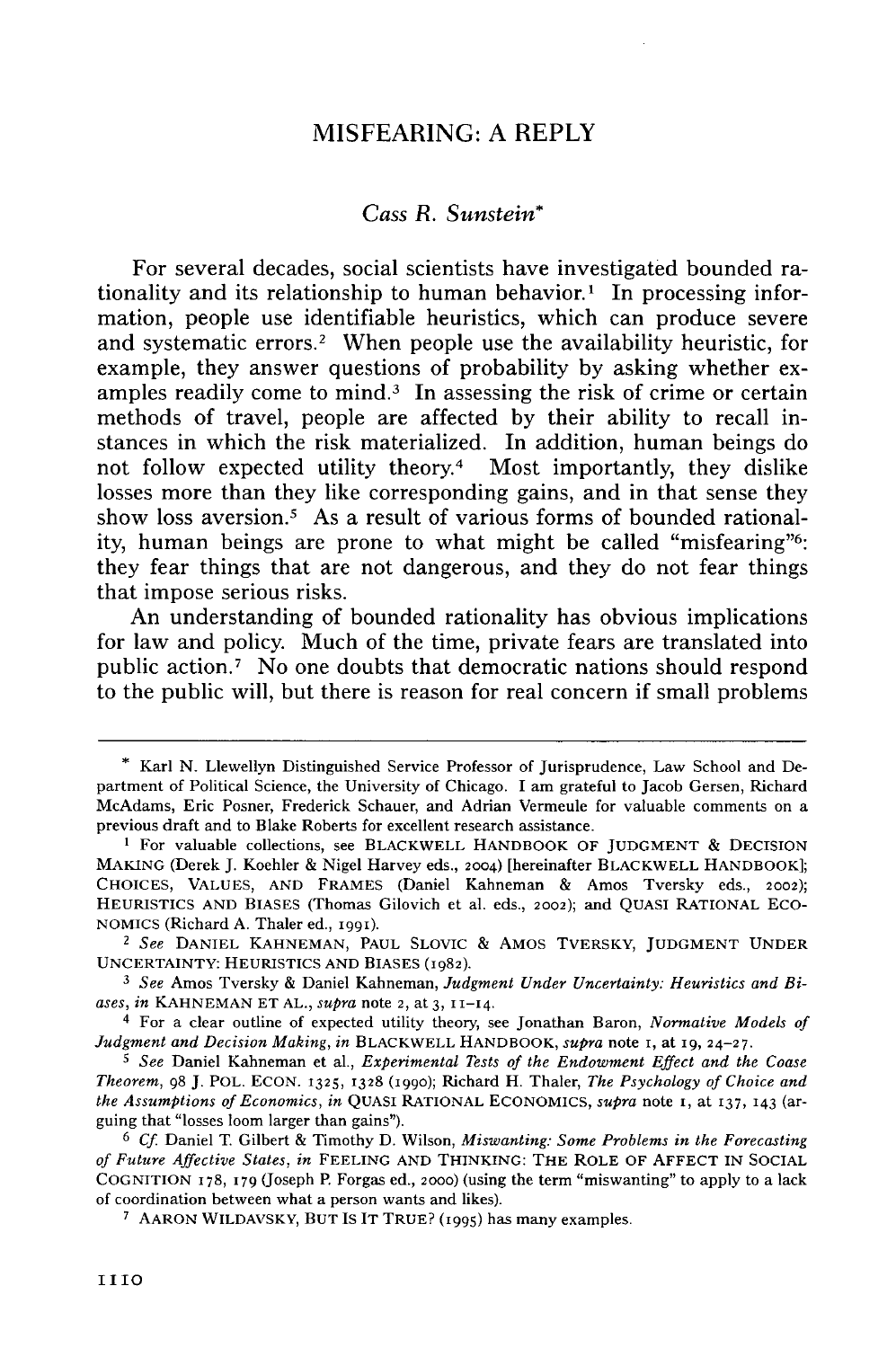## **MISFEARING: A** REPLY

## *Cass R. Sunstein\**

For several decades, social scientists have investigated bounded rationality and its relationship to human behavior.' In processing information, people use identifiable heuristics, which can produce severe and systematic errors.<sup>2</sup> When people use the availability heuristic, for example, they answer questions of probability **by** asking whether examples readily come to mind.<sup>3</sup> In assessing the risk of crime or certain methods of travel, people are affected **by** their ability to recall instances in which the risk materialized. In addition, human beings do not follow expected utility theory.4 Most importantly, they dislike losses more than they like corresponding gains, and in that sense they show loss aversion.<sup>5</sup> As a result of various forms of bounded rationality, human beings are prone to what might be called "misfearing". they fear things that are not dangerous, and they do not fear things that impose serious risks.

An understanding of bounded rationality has obvious implications for law and policy. Much of the time, private fears are translated into public action.7 No one doubts that democratic nations should respond to the public will, but there is reason for real concern if small problems

**<sup>\*</sup>** Karl N. Llewellyn Distinguished Service Professor of Jurisprudence, Law School and Department of Political Science, the University of Chicago. I am grateful to Jacob Gersen, Richard McAdams, Eric Posner, Frederick Schauer, and Adrian Vermeule for valuable comments on a previous draft and to Blake Roberts for excellent research assistance.

**<sup>1</sup>** For valuable collections, see BLACKWELL HANDBOOK OF JUDGMENT & DECISION MAKING (Derek J. Koehler & Nigel Harvey eds., **2004)** [hereinafter BLACKWELL HANDBOOK]; CHOICES, VALUES, AND FRAMES (Daniel Kahneman & Amos Tversky eds., 2002); HEURISTICS AND BIASES (Thomas Gilovich et al. eds., 2002); and QUASI RATIONAL ECO-NOMICS (Richard A. Thaler ed., **i991).**

*<sup>2</sup> See* DANIEL KAHNEMAN, PAUL SLOVIC & AMOS TVERSKY, JUDGMENT UNDER UNCERTAINTY: HEURISTICS AND BIASES (1982).

*<sup>3</sup> See* Amos Tversky & Daniel Kahneman, *Judgment Under Uncertainty: Heuristics and Biases, in* KAHNEMAN ET AL., *supra* note 2, at 3, **11-14.**

<sup>4</sup> For a clear outline of expected utility theory, see Jonathan Baron, *Normative Models of Judgment and Decision Making, in* BLACKWELL HANDBOOK, *supra* note i, at **19,** 24-27.

*<sup>5</sup> See* Daniel Kahneman et al., *Experimental Tests of the Endowment Effect and the Coase Theorem,* 98 J. POL. ECON. **1325, 1328** (i99o); Richard H. Thaler, *The Psychology of Choice and the Assumptions of Economics, in* QUASI RATIONAL ECONOMICS, *supra* note **i,** at 137, **143** (arguing that "losses loom larger than gains").

<sup>6</sup> *Cf.* Daniel T. Gilbert & Timothy D. Wilson, *Miswanting: Some Problems in the Forecasting of Future Affective States, in* FEELING AND THINKING: THE ROLE OF AFFECT IN SOCIAL COGNITION 178, **179** (Joseph P. Forgas ed., **2000)** (using the term "miswanting" to apply to a lack of coordination between what a person wants and likes).

**<sup>7</sup>** AARON WILDAVSKY, BUT IS IT TRUE? **(i995)** has many examples.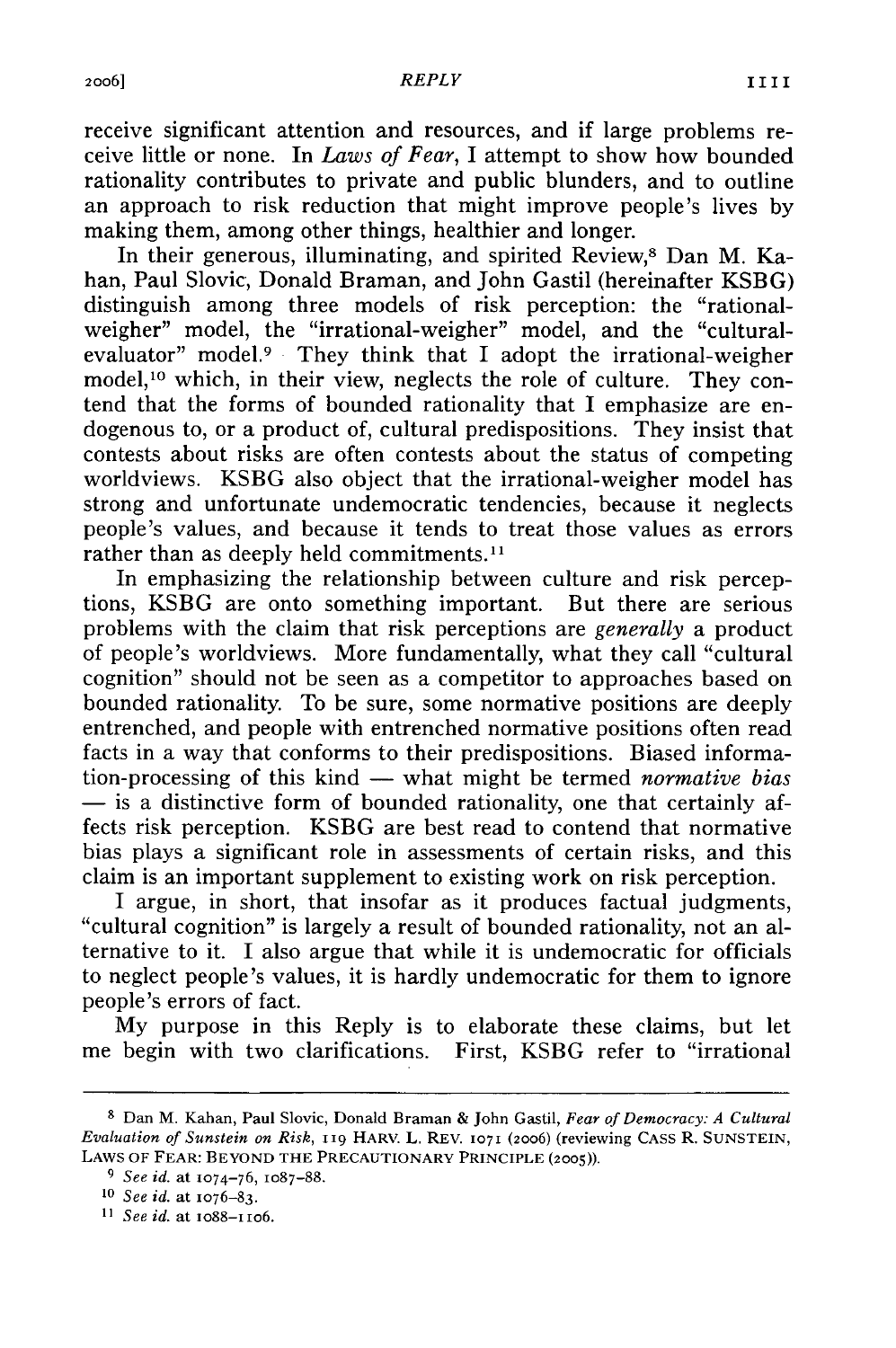receive significant attention and resources, and if large problems receive little or none. In *Laws of Fear,* I attempt to show how bounded rationality contributes to private and public blunders, and to outline an approach to risk reduction that might improve people's lives by making them, among other things, healthier and longer.

In their generous, illuminating, and spirited Review,<sup>8</sup> Dan M. Kahan, Paul Slovic, Donald Braman, and John Gastil (hereinafter KSBG) distinguish among three models of risk perception: the "rationalweigher" model, the "irrational-weigher" model, and the "culturalevaluator" model. $9$  They think that I adopt the irrational-weigher model,10 which, in their view, neglects the role of culture. They contend that the forms of bounded rationality that I emphasize are endogenous to, or a product of, cultural predispositions. They insist that contests about risks are often contests about the status of competing worldviews. KSBG also object that the irrational-weigher model has strong and unfortunate undemocratic tendencies, because it neglects people's values, and because it tends to treat those values as errors rather than as deeply held commitments.<sup>11</sup>

In emphasizing the relationship between culture and risk perceptions, KSBG are onto something important. But there are serious problems with the claim that risk perceptions are *generally* a product of people's worldviews. More fundamentally, what they call "cultural cognition" should not be seen as a competitor to approaches based on bounded rationality. To be sure, some normative positions are deeply entrenched, and people with entrenched normative positions often read facts in a way that conforms to their predispositions. Biased information-processing of this kind — what might be termed *normative bias* **-** is a distinctive form of bounded rationality, one that certainly affects risk perception. KSBG are best read to contend that normative bias plays a significant role in assessments of certain risks, and this claim is an important supplement to existing work on risk perception.

I argue, in short, that insofar as it produces factual judgments, "cultural cognition" is largely a result of bounded rationality, not an alternative to it. I also argue that while it is undemocratic for officials to neglect people's values, it is hardly undemocratic for them to ignore people's errors of fact.

My purpose in this Reply is to elaborate these claims, but let me begin with two clarifications. First, KSBG refer to "irrational

**<sup>8</sup>** Dan M. Kahan, Paul Slovic, Donald Braman & John Gastil, *Fear of Democracy: A Cultural Evaluation of Sunstein on Risk,* **i9** HARV. L. REV. **1071** (2006) (reviewing CASS R. **SUNSTEIN,** LAWS OF FEAR: BEYOND THE PRECAUTIONARY PRINCIPLE **(2005)).**

**<sup>9</sup>** *See id.* at 1074-76, 1087-88.

*<sup>10</sup>See id.* at **1076-83.**

**<sup>11</sup>** *See id.* at io88-i io6.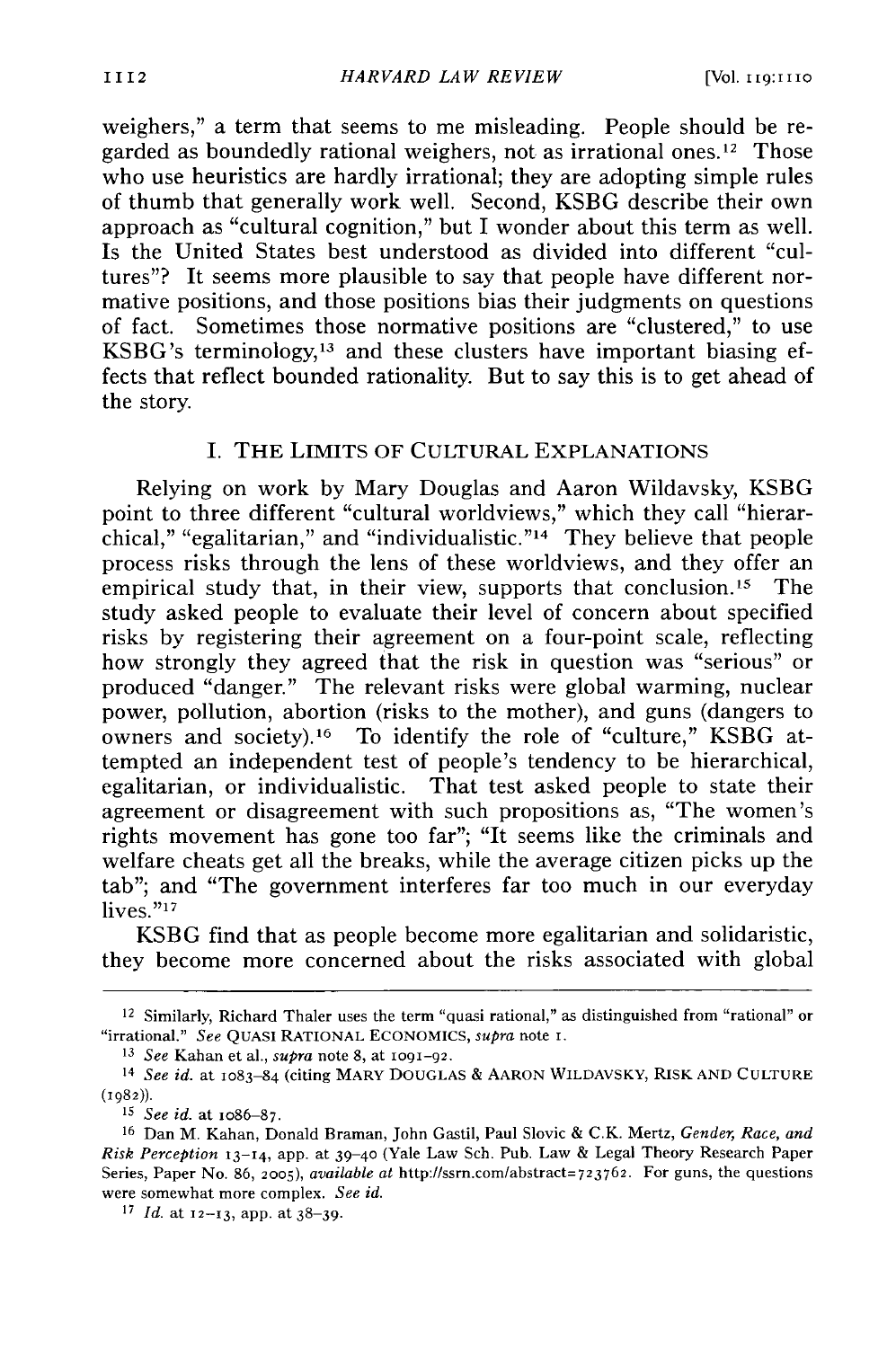weighers," a term that seems to me misleading. People should be regarded as boundedly rational weighers, not as irrational ones.<sup>12</sup> Those who use heuristics are hardly irrational; they are adopting simple rules of thumb that generally work well. Second, KSBG describe their own approach as "cultural cognition," but I wonder about this term as well. Is the United States best understood as divided into different "cultures"? It seems more plausible to say that people have different normative positions, and those positions bias their judgments on questions of fact. Sometimes those normative positions are "clustered," to use KSBG's terminology,13 and these clusters have important biasing effects that reflect bounded rationality. But to say this is to get ahead of the story.

#### I. THE LIMITS OF **CULTURAL EXPLANATIONS**

Relying on work by Mary Douglas and Aaron Wildavsky, KSBG point to three different "cultural worldviews," which they call "hierarchical," "egalitarian," and "individualistic."<sup>14</sup> They believe that people process risks through the lens of these worldviews, and they offer an empirical study that, in their view, supports that conclusion.<sup>15</sup> The study asked people to evaluate their level of concern about specified risks by registering their agreement on a four-point scale, reflecting how strongly they agreed that the risk in question was "serious" or produced "danger." The relevant risks were global warming, nuclear power, pollution, abortion (risks to the mother), and guns (dangers to owners and society).16 To identify the role of "culture," KSBG attempted an independent test of people's tendency to be hierarchical, egalitarian, or individualistic. That test asked people to state their agreement or disagreement with such propositions as, "The women's rights movement has gone too far"; "It seems like the criminals and welfare cheats get all the breaks, while the average citizen picks up the tab"; and "The government interferes far too much in our everyday lives."<sup>17</sup>

KSBG find that as people become more egalitarian and solidaristic, they become more concerned about the risks associated with global

**<sup>13</sup>***See* Kahan et al., *supra* note **8,** at 1O91-92.

<sup>12</sup> Similarly, Richard Thaler uses the term "quasi rational," as distinguished from "rational" or "irrational." *See* **QUASI** RATIONAL **ECONOMICS,** *supra* note i.

<sup>14</sup>*See id.* at io83-84 (citing MARY DOUGLAS **& AARON** WILDAVSKY, RISK **AND CULTURE**  $(1982)$ ).

*<sup>15</sup>See id.* at io86-87.

**<sup>16</sup>**Dan M. Kahan, Donald Braman, John Gastil, Paul Slovic **&** C.K. Mertz, *Gender, Race, and Risk Perception* 13-14, app. at 39-40 (Vale Law Sch. Pub. Law **&** Legal Theory Research Paper Series, Paper No. 86, 2oo5), *available at* http://ssrn.com/abstract=723762. For guns, the questions were somewhat more complex. *See id.*

**<sup>17</sup>***Id.* at 12-13, app. at 38-39.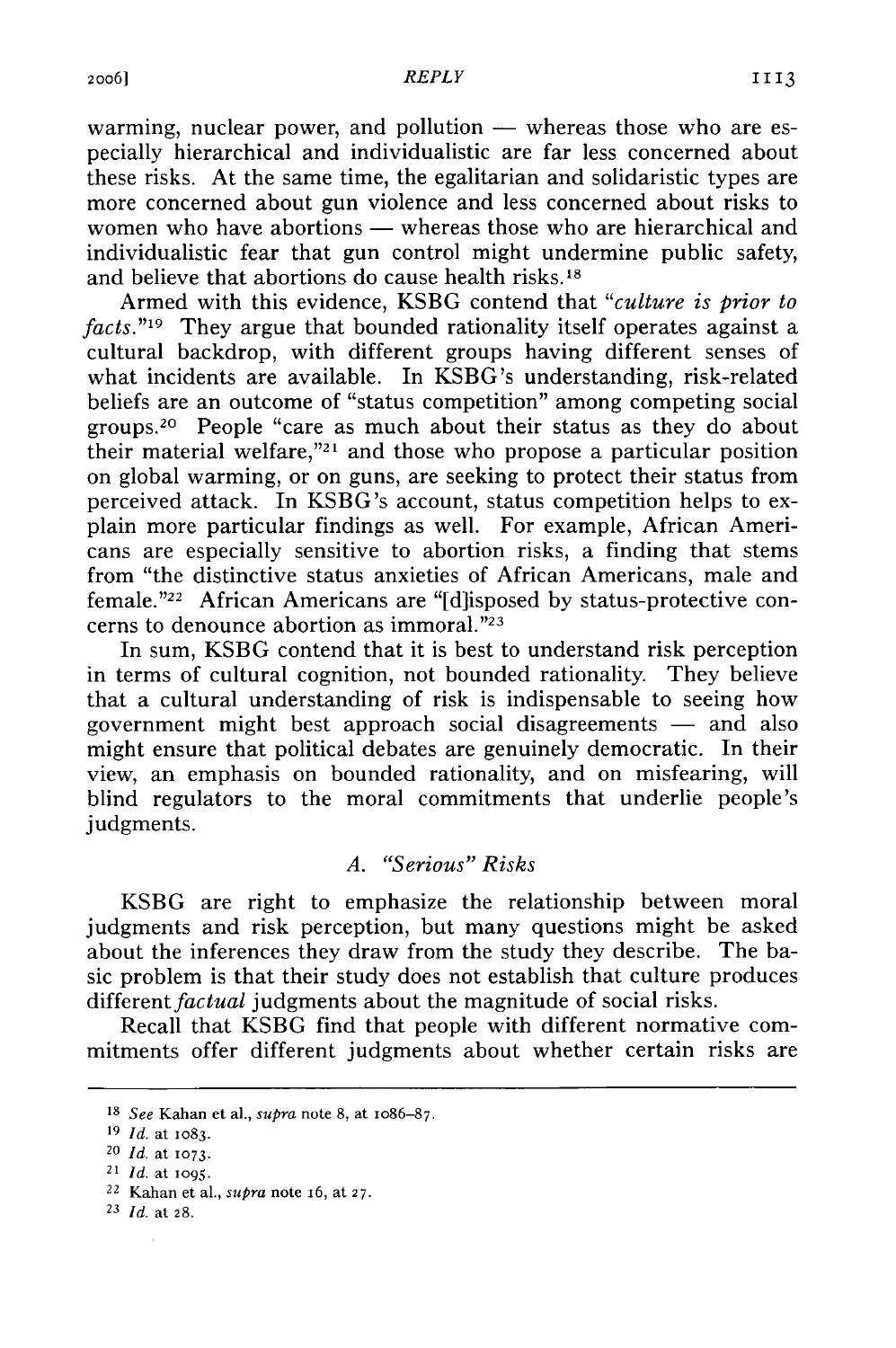warming, nuclear power, and pollution  $-$  whereas those who are especially hierarchical and individualistic are far less concerned about these risks. At the same time, the egalitarian and solidaristic types are more concerned about gun violence and less concerned about risks to women who have abortions — whereas those who are hierarchical and individualistic fear that gun control might undermine public safety, and believe that abortions do cause health risks.<sup>18</sup>

Armed with this evidence, KSBG contend that *"culture is prior to facts*."<sup>19</sup> They argue that bounded rationality itself operates against a cultural backdrop, with different groups having different senses of what incidents are available. In KSBG's understanding, risk-related beliefs are an outcome of "status competition" among competing social groups.<sup>20</sup> People "care as much about their status as they do about their material welfare, $\frac{n}{21}$  and those who propose a particular position on global warming, or on guns, are seeking to protect their status from perceived attack. In KSBG's account, status competition helps to explain more particular findings as well. For example, African Americans are especially sensitive to abortion risks, a finding that stems from "the distinctive status anxieties of African Americans, male and female. '22 African Americans are "[d]isposed by status-protective concerns to denounce abortion as immoral."23

In sum, KSBG contend that it is best to understand risk perception in terms of cultural cognition, not bounded rationality. They believe that a cultural understanding of risk is indispensable to seeing how government might best approach social disagreements  $-$  and also might ensure that political debates are genuinely democratic. In their view, an emphasis on bounded rationality, and on misfearing, will blind regulators to the moral commitments that underlie people's judgments.

### *A. "Serious" Risks*

KSBG are right to emphasize the relationship between moral judgments and risk perception, but many questions might be asked about the inferences they draw from the study they describe. The basic problem is that their study does not establish that culture produces different *factual* judgments about the magnitude of social risks.

Recall that KSBG find that people with different normative commitments offer different judgments about whether certain risks are

- 22 Kahan et al., *supra* note 16, at 27.
- <sup>23</sup>*Id.* at 28.

**<sup>18</sup>***See* Kahan et al., *supra* note 8, at io86-87.

<sup>19</sup> *Id.* at io83.

<sup>20</sup>*Id.* at 1073.

<sup>21</sup>*Id.* at 1095.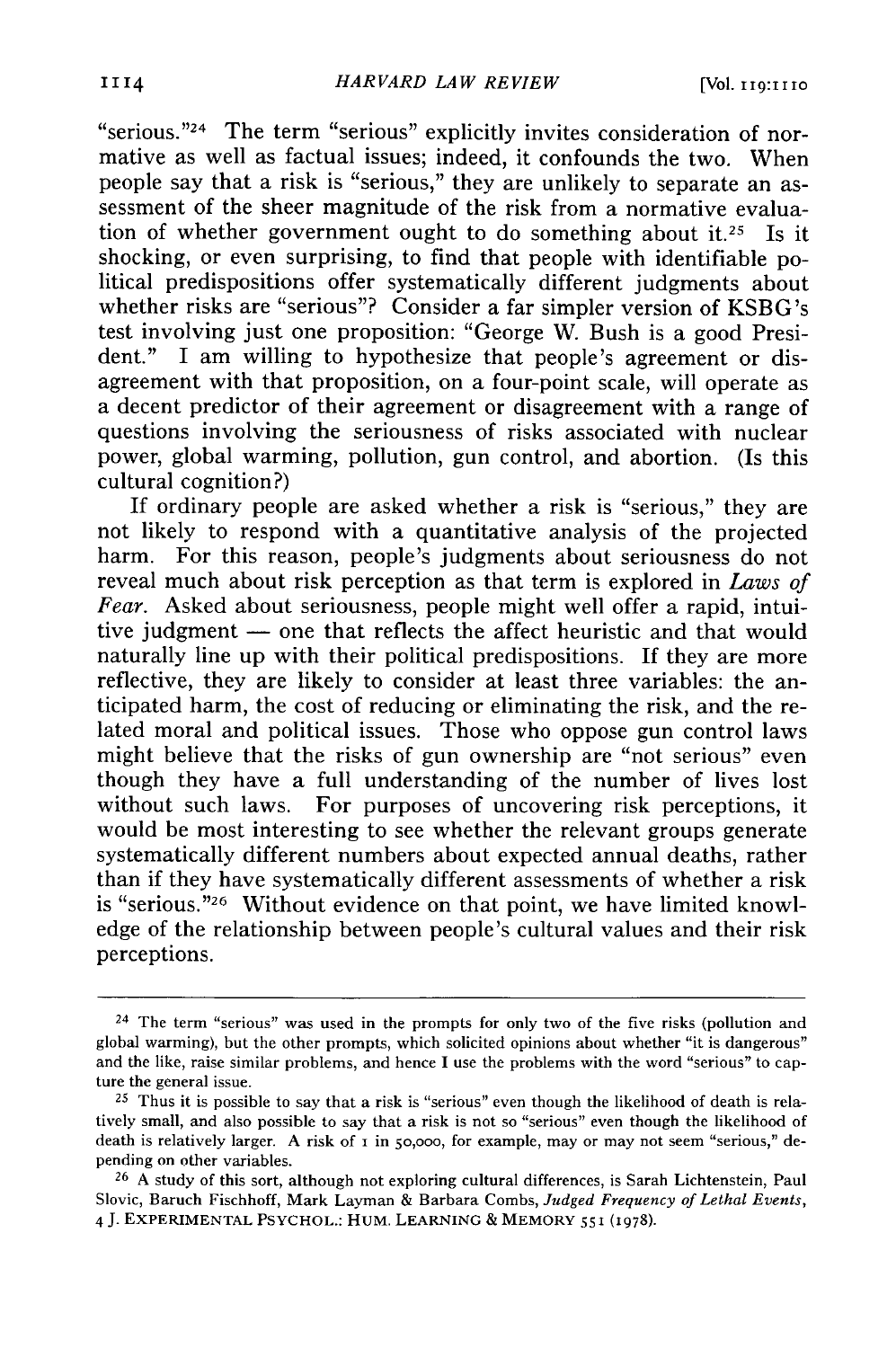"serious."<sup>24</sup> The term "serious" explicitly invites consideration of normative as well as factual issues; indeed, it confounds the two. When people say that a risk is "serious," they are unlikely to separate an assessment of the sheer magnitude of the risk from a normative evaluation of whether government ought to do something about it.<sup>25</sup> Is it shocking, or even surprising, to find that people with identifiable political predispositions offer systematically different judgments about whether risks are "serious"? Consider a far simpler version of KSBG's test involving just one proposition: "George W. Bush is a good President." I am willing to hypothesize that people's agreement or disagreement with that proposition, on a four-point scale, will operate as a decent predictor of their agreement or disagreement with a range of questions involving the seriousness of risks associated with nuclear power, global warming, pollution, gun control, and abortion. (Is this cultural cognition?)

If ordinary people are asked whether a risk is "serious," they are not likely to respond with a quantitative analysis of the projected harm. For this reason, people's judgments about seriousness do not reveal much about risk perception as that term is explored in *Laws of Fear.* Asked about seriousness, people might well offer a rapid, intuitive judgment  $-$  one that reflects the affect heuristic and that would naturally line up with their political predispositions. If they are more reflective, they are likely to consider at least three variables: the anticipated harm, the cost of reducing or eliminating the risk, and the related moral and political issues. Those who oppose gun control laws might believe that the risks of gun ownership are "not serious" even though they have a full understanding of the number of lives lost without such laws. For purposes of uncovering risk perceptions, it would be most interesting to see whether the relevant groups generate systematically different numbers about expected annual deaths, rather than if they have systematically different assessments of whether a risk is "serious. '26 Without evidence on that point, we have limited knowledge of the relationship between people's cultural values and their risk perceptions.

 $24$  The term "serious" was used in the prompts for only two of the five risks (pollution and global warming), but the other prompts, which solicited opinions about whether "it is dangerous" and the like, raise similar problems, and hence I use the problems with the word "serious" to capture the general issue.

<sup>&</sup>lt;sup>25</sup> Thus it is possible to say that a risk is "serious" even though the likelihood of death is relatively small, and also possible to say that a risk is not so "serious" even though the likelihood of death is relatively larger. A risk of i in **50,000,** for example, may or may not seem "serious," depending on other variables.

**<sup>26</sup>**A study of this sort, although not exploring cultural differences, is Sarah Lichtenstein, Paul Slovic, Baruch Fischhoff, Mark Layman & Barbara Combs, *Judged Frequency of Lethal Events,* 4 **J.** EXPERIMENTAL PSYCHOL.: HUM. **LEARNING** & MEMORY **551 (1978).**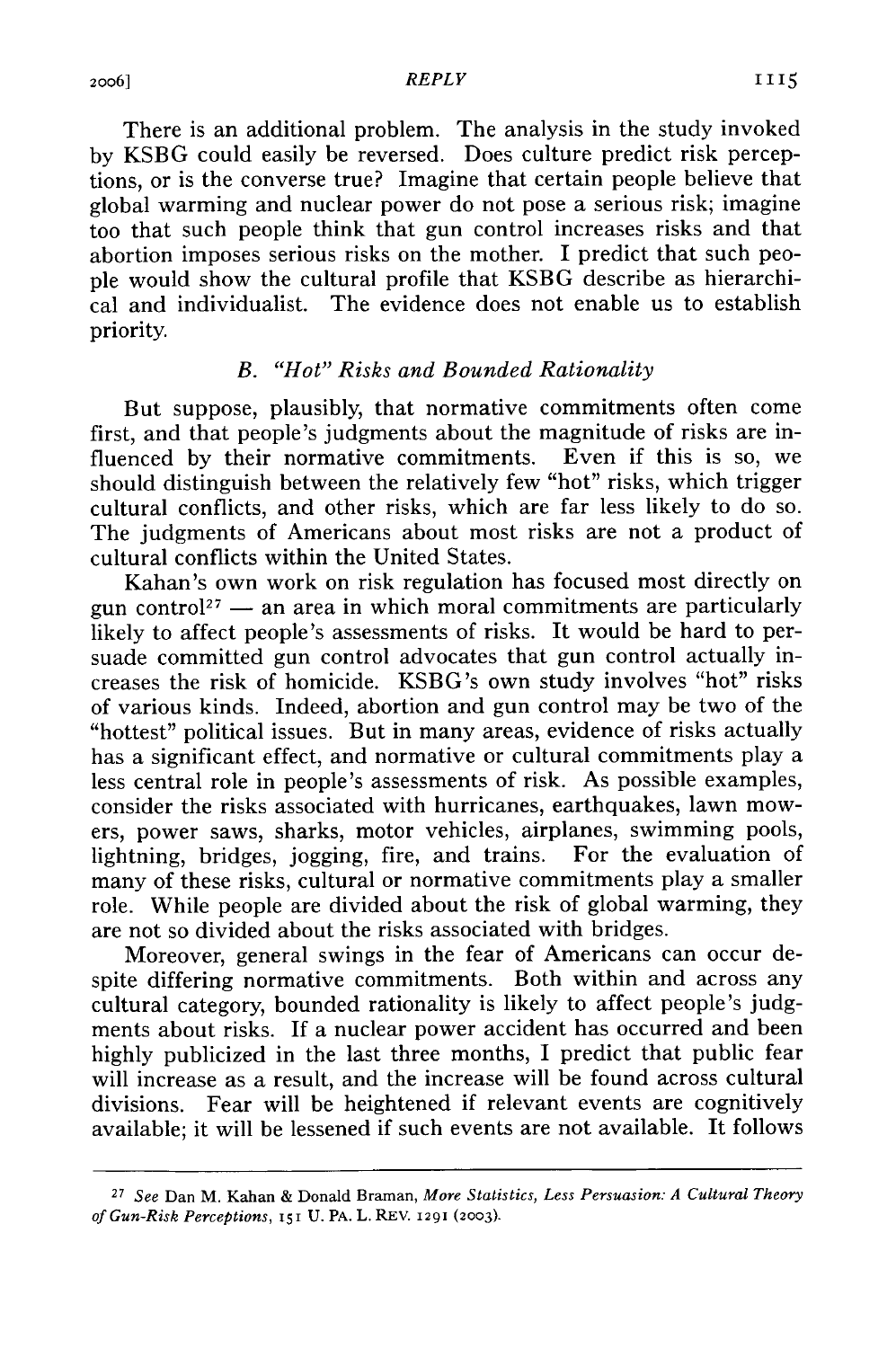## 2006] **REPLY III**

There is an additional problem. The analysis in the study invoked by KSBG could easily be reversed. Does culture predict risk perceptions, or is the converse true? Imagine that certain people believe that global warming and nuclear power do not pose a serious risk; imagine too that such people think that gun control increases risks and that abortion imposes serious risks on the mother. I predict that such people would show the cultural profile that KSBG describe as hierarchical and individualist. The evidence does not enable us to establish priority.

## *B. "Hot" Risks and Bounded Rationality*

But suppose, plausibly, that normative commitments often come first, and that people's judgments about the magnitude of risks are influenced by their normative commitments. Even if this is so, we should distinguish between the relatively few "hot" risks, which trigger cultural conflicts, and other risks, which are far less likely to do so. The judgments of Americans about most risks are not a product of cultural conflicts within the United States.

Kahan's own work on risk regulation has focused most directly on gun control<sup>27</sup> - an area in which moral commitments are particularly likely to affect people's assessments of risks. It would be hard to persuade committed gun control advocates that gun control actually increases the risk of homicide. KSBG's own study involves "hot" risks of various kinds. Indeed, abortion and gun control may be two of the "hottest" political issues. But in many areas, evidence of risks actually has a significant effect, and normative or cultural commitments play a less central role in people's assessments of risk. As possible examples, consider the risks associated with hurricanes, earthquakes, lawn mowers, power saws, sharks, motor vehicles, airplanes, swimming pools, lightning, bridges, jogging, fire, and trains. For the evaluation of many of these risks, cultural or normative commitments play a smaller role. While people are divided about the risk of global warming, they are not so divided about the risks associated with bridges.

Moreover, general swings in the fear of Americans can occur despite differing normative commitments. Both within and across any cultural category, bounded rationality is likely to affect people's judgments about risks. If a nuclear power accident has occurred and been highly publicized in the last three months, I predict that public fear will increase as a result, and the increase will be found across cultural divisions. Fear will be heightened if relevant events are cognitively available; it will be lessened if such events are not available. It follows

**<sup>27</sup>***See* Dan M. Kahan & Donald Braman, *More Statistics, Less Persuasion: A Cultural Theory of Gun-Risk Perceptions,* **151** U. PA. L. REV. **1291 (2003).**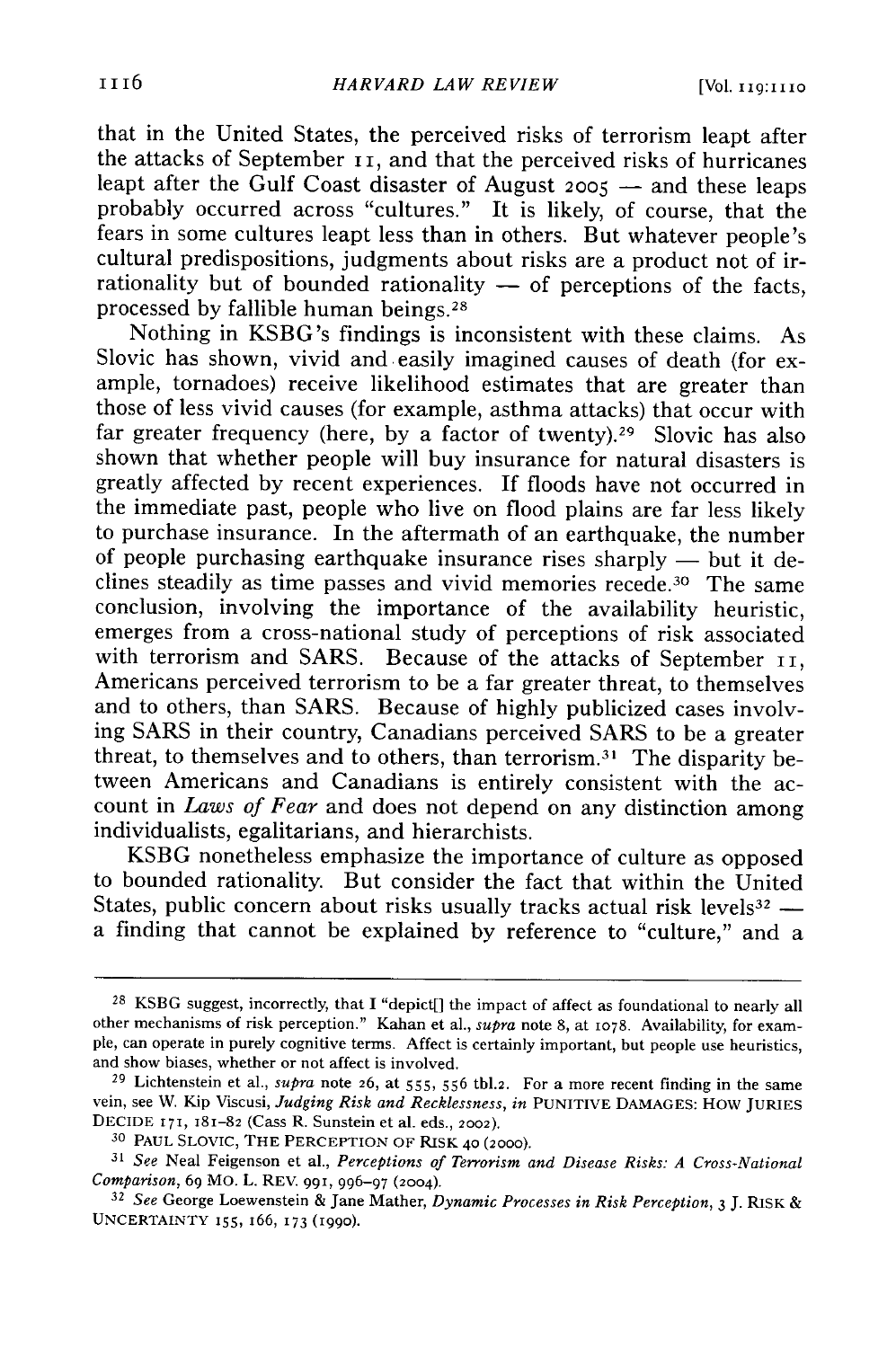that in the United States, the perceived risks of terrorism leapt after the attacks of September *ii,* and that the perceived risks of hurricanes leapt after the Gulf Coast disaster of August 2005 — and these leaps probably occurred across "cultures." It is likely, of course, that the fears in some cultures leapt less than in others. But whatever people's cultural predispositions, judgments about risks are a product not of irrationality but of bounded rationality  $-$  of perceptions of the facts, processed by fallible human beings. <sup>28</sup>

Nothing in KSBG's findings is inconsistent with these claims. As Slovic has shown, vivid and easily imagined causes of death (for example, tornadoes) receive likelihood estimates that are greater than those of less vivid causes (for example, asthma attacks) that occur with far greater frequency (here, by a factor of twenty).<sup>29</sup> Slovic has also shown that whether people will buy insurance for natural disasters is greatly affected by recent experiences. If floods have not occurred in the immediate past, people who live on flood plains are far less likely to purchase insurance. In the aftermath of an earthquake, the number of people purchasing earthquake insurance rises sharply  $-$  but it declines steadily as time passes and vivid memories recede. 30 The same conclusion, involving the importance of the availability heuristic, emerges from a cross-national study of perceptions of risk associated with terrorism and SARS. Because of the attacks of September *1i,* Americans perceived terrorism to be a far greater threat, to themselves and to others, than SARS. Because of highly publicized cases involving SARS in their country, Canadians perceived SARS to be a greater threat, to themselves and to others, than terrorism. 31 The disparity between Americans and Canadians is entirely consistent with the account in *Laws of Fear* and does not depend on any distinction among individualists, egalitarians, and hierarchists.

KSBG nonetheless emphasize the importance of culture as opposed to bounded rationality. But consider the fact that within the United States, public concern about risks usually tracks actual risk levels<sup>32</sup> a finding that cannot be explained by reference to "culture," and a

<sup>&</sup>lt;sup>28</sup> KSBG suggest, incorrectly, that I "depict[] the impact of affect as foundational to nearly all other mechanisms of risk perception." Kahan et al., *supra* note **8,** at **1078.** Availability, for example, can operate in purely cognitive terms. Affect is certainly important, but people use heuristics, and show biases, whether or not affect is involved.

**<sup>29</sup>**Lichtenstein et al., *supra* note 26, at 555, 556 tbl.2. For a more recent finding in the same vein, see W. Kip Viscusi, *Judging Risk and Recklessness, in* **PUNITIVE DAMAGES:** How **JURIES DECIDE 171, 181-82** (Cass R. Sunstein et al. eds., 2002).

**<sup>30</sup> PAUL** SLOVIC, THE PERCEPTION OF RISK 40 **(2000).**

**<sup>31</sup>***See* Neal Feigenson et al., *Perceptions of Terrorism and Disease Risks: A Cross-National Comparison,* 69 MO. L. REV. 991, **996-97** (2004).

<sup>32</sup>*See* George Loewenstein & Jane Mather, *Dynamic Processes in Risk Perception,* **3** J. RISK & UNCERTAINTY 155, 166, 173 (1990).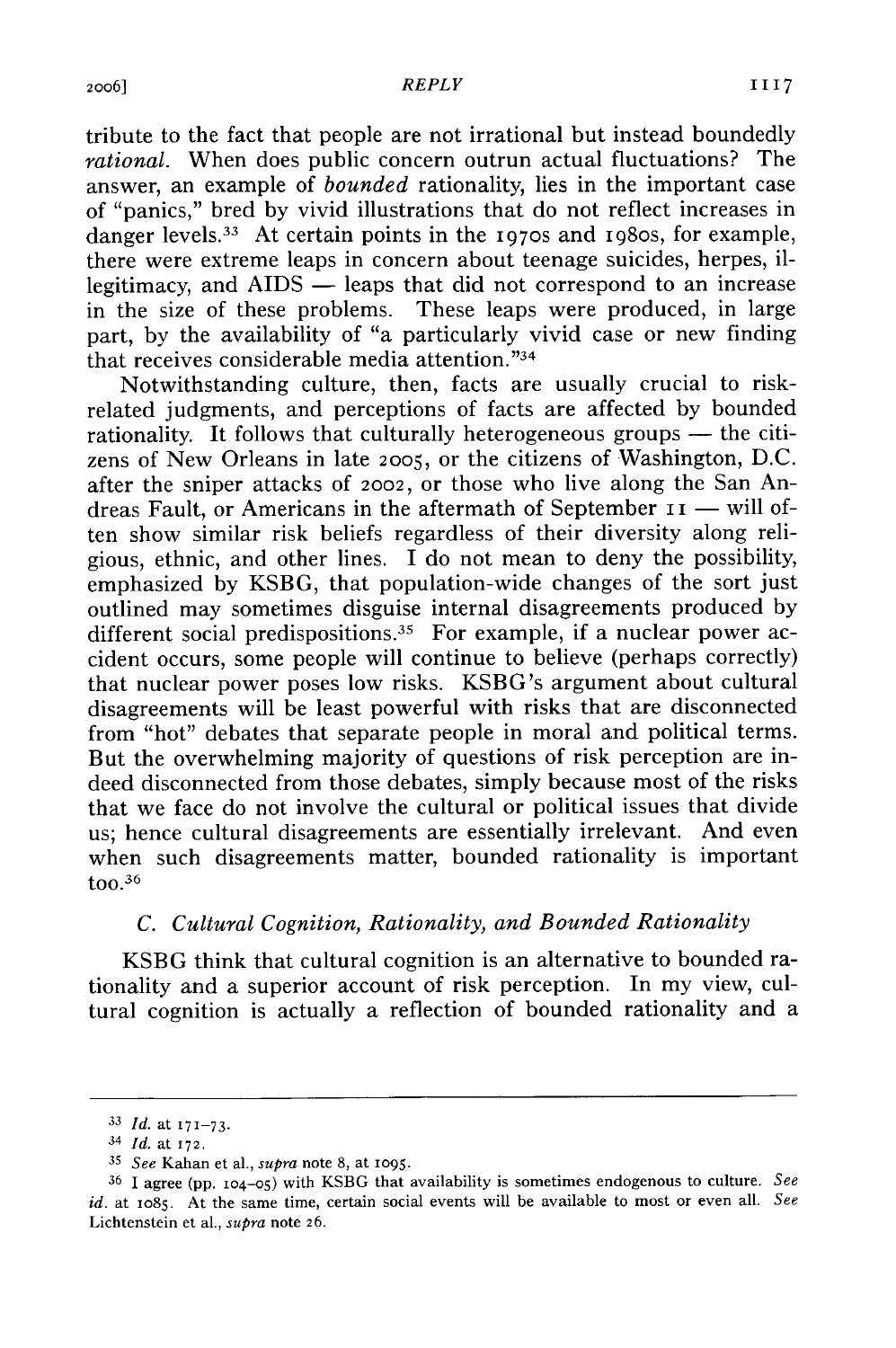### 2006] *REPLY* 1117

tribute to the fact that people are not irrational but instead boundedly *rational.* When does public concern outrun actual fluctuations? The answer, an example of *bounded* rationality, lies in the important case of "panics," bred by vivid illustrations that do not reflect increases in danger levels. 33 At certain points in the **1970s** and **I98os,** for example, there were extreme leaps in concern about teenage suicides, herpes, illegitimacy, and  $AIDS$  - leaps that did not correspond to an increase in the size of these problems. These leaps were produced, in large part, **by** the availability of "a particularly vivid case or new finding that receives considerable media attention."34

Notwithstanding culture, then, facts are usually crucial to riskrelated judgments, and perceptions of facts are affected **by** bounded rationality. It follows that culturally heterogeneous groups  $-$  the citizens of New Orleans in late **2005,** or the citizens of Washington, D.C. after the sniper attacks of 2002, or those who live along the San Andreas Fault, or Americans in the aftermath of September  $I_1$  — will often show similar risk beliefs regardless of their diversity along religious, ethnic, and other lines. **I** do not mean to deny the possibility, emphasized **by** KSBG, that population-wide changes of the sort just outlined may sometimes disguise internal disagreements produced **by** different social predispositions.<sup>35</sup> For example, if a nuclear power accident occurs, some people will continue to believe (perhaps correctly) that nuclear power poses low risks. KSBG's argument about cultural disagreements will be least powerful with risks that are disconnected from "hot" debates that separate people in moral and political terms. But the overwhelming majority of questions of risk perception are indeed disconnected from those debates, simply because most of the risks that we face do not involve the cultural or political issues that divide us; hence cultural disagreements are essentially irrelevant. And even when such disagreements matter, bounded rationality is important too.<sup>36</sup>

## *C. Cultural Cognition, Rationality, and Bounded Rationality*

KSBG think that cultural cognition is an alternative to bounded rationality and a superior account of risk perception. In my view, cultural cognition is actually a reflection of bounded rationality and a

**<sup>33</sup>** *Id.* at 171-73.

<sup>34</sup>*Id.* at **172.**

**<sup>35</sup>** *See* Kahan et al., *supra* note 8, at 1O95.

<sup>36 1</sup> agree (pp. 104-o5) with KSBG that availability is sometimes endogenous to culture. *See id.* at 1O85. At the same time, certain social events will be available to most or even all. *See* Lichtenstein et al., *supra* note **26.**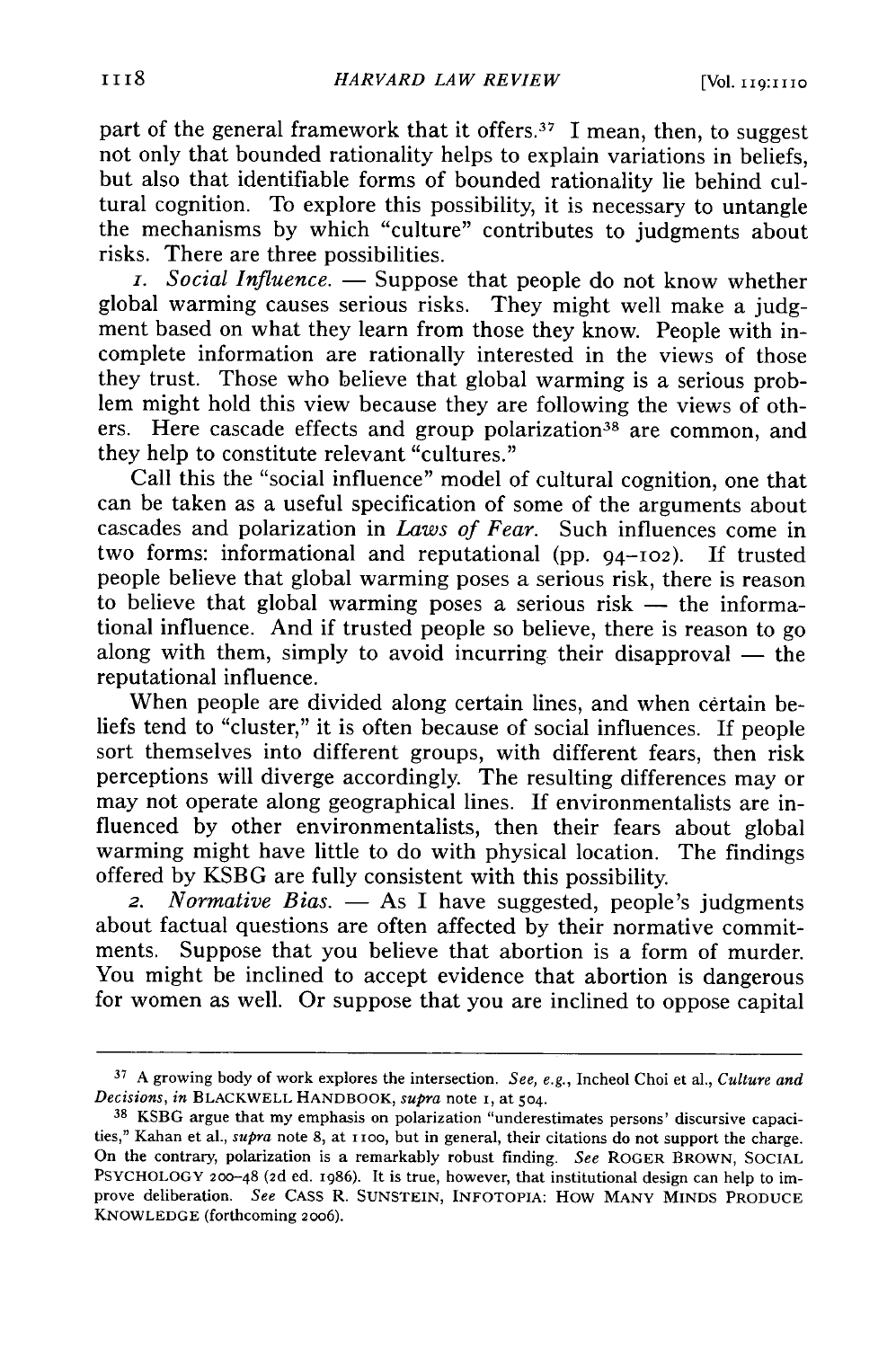part of the general framework that it offers.<sup>37</sup> I mean, then, to suggest not only that bounded rationality helps to explain variations in beliefs, but also that identifiable forms of bounded rationality lie behind cultural cognition. To explore this possibility, it is necessary to untangle the mechanisms by which "culture" contributes to judgments about risks. There are three possibilities.

*i. Social Influence.* — Suppose that people do not know whether global warming causes serious risks. They might well make a judgment based on what they learn from those they know. People with incomplete information are rationally interested in the views of those they trust. Those who believe that global warming is a serious problem might hold this view because they are following the views of others. Here cascade effects and group polarization<sup>38</sup> are common, and they help to constitute relevant "cultures."

Call this the "social influence" model of cultural cognition, one that can be taken as a useful specification of some of the arguments about cascades and polarization in *Laws of Fear.* Such influences come in two forms: informational and reputational (pp. 94-102). If trusted people believe that global warming poses a serious risk, there is reason to believe that global warming poses a serious risk  $-$  the informational influence. And if trusted people so believe, there is reason to go along with them, simply to avoid incurring their disapproval  $-$  the reputational influence.

When people are divided along certain lines, and when certain beliefs tend to "cluster," it is often because of social influences. If people sort themselves into different groups, with different fears, then risk perceptions will diverge accordingly. The resulting differences may or may not operate along geographical lines. If environmentalists are influenced by other environmentalists, then their fears about global warming might have little to do with physical location. The findings offered by KSBG are fully consistent with this possibility.

2. *Normative Bias.* — As I have suggested, people's judgments about factual questions are often affected by their normative commitments. Suppose that you believe that abortion is a form of murder. You might be inclined to accept evidence that abortion is dangerous for women as well. Or suppose that you are inclined to oppose capital

**<sup>37</sup>**A growing body of work explores the intersection. *See, e.g.,* Incheol Choi et al., *Culture and Decisions, in BLACKWELL HANDBOOK, supra note 1, at 504.* 

**<sup>38</sup>** KSBG argue that my emphasis on polarization "underestimates persons' discursive capacities," Kahan et al., *supra* note 8, at i ioo, but in general, their citations do not support the charge. On the contrary, polarization is a remarkably robust finding. *See* ROGER BROWN, **SOCIAL** PSYCHOLOGY 200-48 (2d ed. 1986). It is true, however, that institutional design can help to improve deliberation. *See* CASS R. **SUNSTEIN, INFOTOPIA:** HOW MANY **MINDS PRODUCE** KNOWLEDGE (forthcoming 2oo6).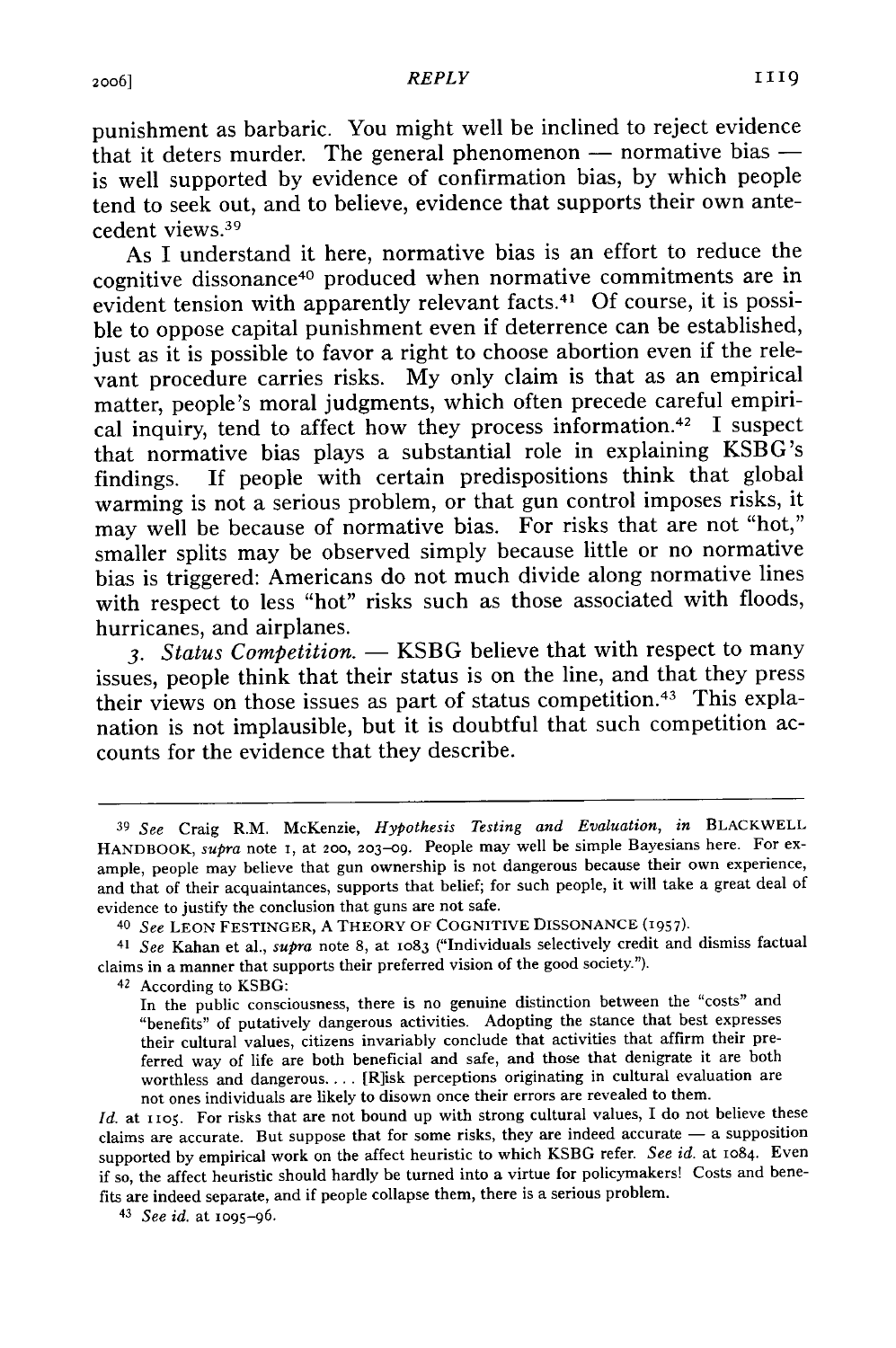punishment as barbaric. You might well be inclined to reject evidence that it deters murder. The general phenomenon  $-$  normative bias  $$ is well supported by evidence of confirmation bias, by which people tend to seek out, and to believe, evidence that supports their own antecedent views.<sup>39</sup>

As I understand it here, normative bias is an effort to reduce the cognitive dissonance 40 produced when normative commitments are in evident tension with apparently relevant facts.<sup>41</sup> Of course, it is possible to oppose capital punishment even if deterrence can be established, just as it is possible to favor a right to choose abortion even if the relevant procedure carries risks. **My** only claim is that as an empirical matter, people's moral judgments, which often precede careful empirical inquiry, tend to affect how they process information.<sup>42</sup> I suspect that normative bias plays a substantial role in explaining KSBG's findings. **If** people with certain predispositions think that global warming is not a serious problem, or that gun control imposes risks, it may well be because of normative bias. For risks that are not "hot," smaller splits may be observed simply because little or no normative bias is triggered: Americans do not much divide along normative lines with respect to less "hot" risks such as those associated with floods, hurricanes, and airplanes.

3. *Status Competition.* - KSBG believe that with respect to many issues, people think that their status is on the line, and that they press their views on those issues as part of status competition.<sup>43</sup> This explanation is not implausible, but it is doubtful that such competition accounts for the evidence that they describe.

*<sup>39</sup>See* Craig R.M. McKenzie, *Hypothesis Testing and Evaluation, in* **BLACKWELL HANDBOOK,** *supra* note i, at **2oo, 203-09.** People may well be simple Bayesians here. For example, people may believe that gun ownership is not dangerous because their own experience, and that of their acquaintances, supports that belief; for such people, it will take a great deal of evidence to justify the conclusion that guns are not safe.

*<sup>40</sup>See* **LEON** FESTINGER, **A** THEORY **OF COGNITIVE DISSONANCE (1957).**

*<sup>41</sup> See* Kahan et al., *supra* note **8,** at 1083 ("Individuals selectively credit and dismiss factual claims in a manner that supports their preferred vision of the good society.").

<sup>42</sup> According to KSBG:

In the public consciousness, there is no genuine distinction between the "costs" and "benefits" of putatively dangerous activities. Adopting the stance that best expresses their cultural values, citizens invariably conclude that activities that affirm their preferred way of life are both beneficial and safe, and those that denigrate it are both worthless and dangerous. ... [R]isk perceptions originating in cultural evaluation are not ones individuals are likely to disown once their errors are revealed to them.

Id. at 1105. For risks that are not bound up with strong cultural values, I do not believe these claims are accurate. But suppose that for some risks, they are indeed accurate  $-$  a supposition supported **by** empirical work on the affect heuristic to which KSBG refer. *See id.* at 1084. Even if so, the affect heuristic should hardly be turned into a virtue for policymakers! Costs and benefits are indeed separate, and if people collapse them, there is a serious problem.

*<sup>43</sup> See id.* at 1095-96.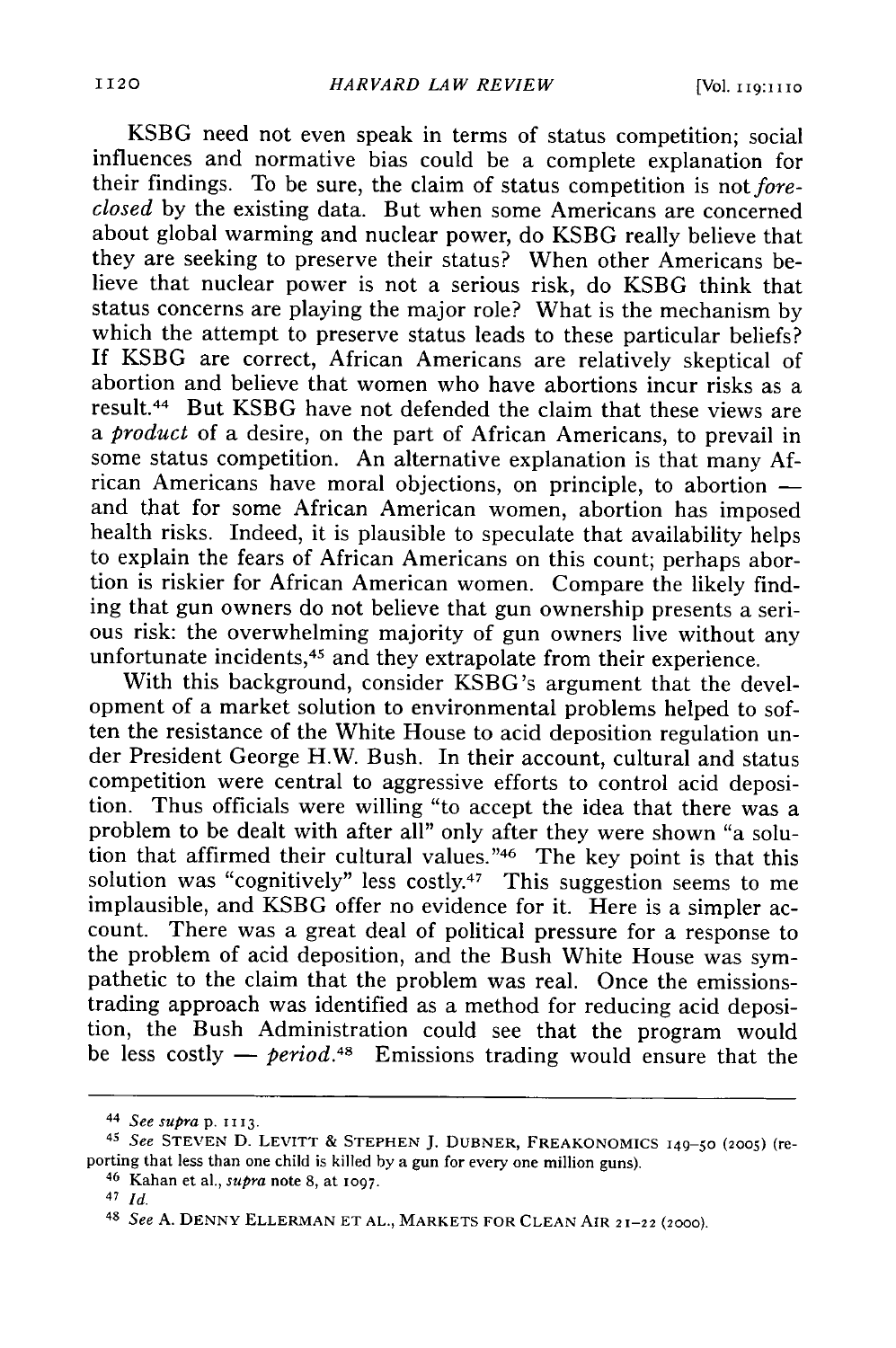KSBG need not even speak in terms of status competition; social influences and normative bias could be a complete explanation for their findings. To be sure, the claim of status competition is not *foreclosed* by the existing data. But when some Americans are concerned about global warming and nuclear power, do KSBG really believe that they are seeking to preserve their status? When other Americans believe that nuclear power is not a serious risk, do KSBG think that status concerns are playing the major role? What is the mechanism by which the attempt to preserve status leads to these particular beliefs? If KSBG are correct, African Americans are relatively skeptical of abortion and believe that women who have abortions incur risks as a result. 44 But KSBG have not defended the claim that these views are a *product* of a desire, on the part of African Americans, to prevail in some status competition. An alternative explanation is that many African Americans have moral objections, on principle, to abortion and that for some African American women, abortion has imposed health risks. Indeed, it is plausible to speculate that availability helps to explain the fears of African Americans on this count; perhaps abortion is riskier for African American women. Compare the likely finding that gun owners do not believe that gun ownership presents a serious risk: the overwhelming majority of gun owners live without any unfortunate incidents,<sup>45</sup> and they extrapolate from their experience.

With this background, consider KSBG's argument that the development of a market solution to environmental problems helped to soften the resistance of the White House to acid deposition regulation under President George H.W. Bush. In their account, cultural and status competition were central to aggressive efforts to control acid deposition. Thus officials were willing "to accept the idea that there was a problem to be dealt with after all" only after they were shown "a solution that affirmed their cultural values."<sup>46</sup> The key point is that this solution was "cognitively" less costly.<sup>47</sup> This suggestion seems to me implausible, and KSBG offer no evidence for it. Here is a simpler account. There was a great deal of political pressure for a response to the problem of acid deposition, and the Bush White House was sympathetic to the claim that the problem was real. Once the emissionstrading approach was identified as a method for reducing acid deposition, the Bush Administration could see that the program would be less costly - *period.48* Emissions trading would ensure that the

<sup>44</sup> See supra p. **1113.**

**<sup>45</sup>***See* **STEVEN D.** LEVITT & **STEPHEN J. DUBNER,** FREAKONOMICS **149-50 (2005)** (reporting that less than one child is killed **by** a gun for every one million guns).

**<sup>46</sup>**Kahan et al., *supra* note **8,** at **1097.**

<sup>47</sup> *Id.*

**<sup>48</sup>***See* **A. DENNY ELLERMAN ET AL., MARKETS FOR CLEAN AIR 21-22 (2000).**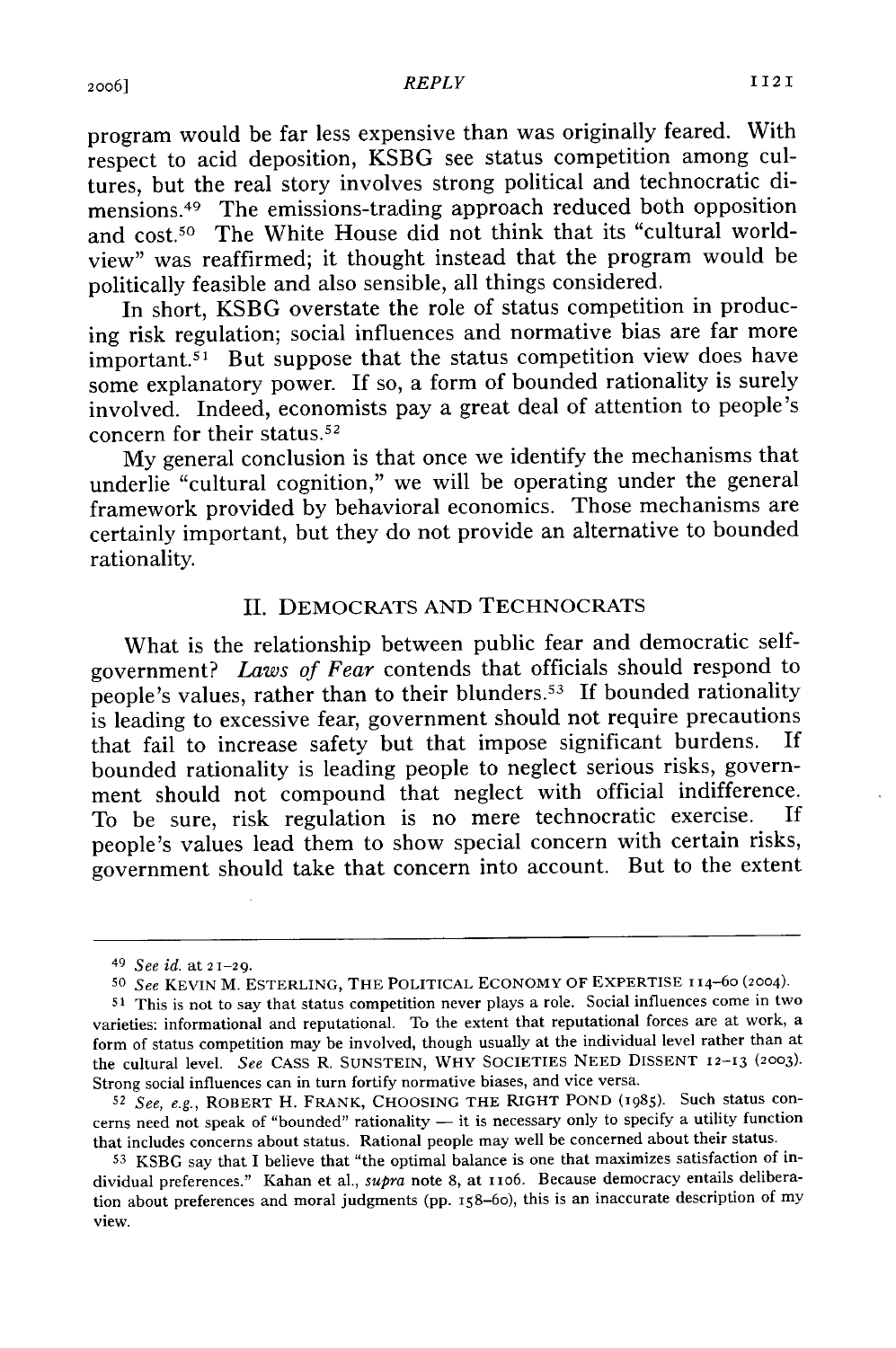program would be far less expensive than was originally feared. With respect to acid deposition, KSBG see status competition among cultures, but the real story involves strong political and technocratic dimensions. 49 The emissions-trading approach reduced both opposition and cost.<sup>50</sup> The White House did not think that its "cultural worldview" was reaffirmed; it thought instead that the program would be politically feasible and also sensible, all things considered.

In short, KSBG overstate the role of status competition in producing risk regulation; social influences and normative bias are far more important.<sup>51</sup> But suppose that the status competition view does have some explanatory power. If so, a form of bounded rationality is surely involved. Indeed, economists pay a great deal of attention to people's concern for their status.<sup>52</sup>

My general conclusion is that once we identify the mechanisms that underlie "cultural cognition," we will be operating under the general framework provided by behavioral economics. Those mechanisms are certainly important, but they do not provide an alternative to bounded rationality.

## II. DEMOCRATS AND TECHNOCRATS

What is the relationship between public fear and democratic selfgovernment? *Laws of Fear* contends that officials should respond to people's values, rather than to their blunders.<sup>53</sup> If bounded rationality is leading to excessive fear, government should not require precautions<br>that foil to increase safety but that impose significant burdens. If that fail to increase safety but that impose significant burdens. bounded rationality is leading people to neglect serious risks, government should not compound that neglect with official indifference.<br>To be sure risk regulation is no mere technocratic exercise. If To be sure, risk regulation is no mere technocratic exercise. people's values lead them to show special concern with certain risks, government should take that concern into account. But to the extent

<sup>49</sup>*See id.* at **21-29.**

**<sup>50</sup>***See* KEVIN M. **ESTERLING,** THE POLITICAL **ECONOMY** OF EXPERTISE 114-6o (2004).

**<sup>51</sup>**This is not to say that status competition never plays a role. Social influences come in two varieties: informational and reputational. To the extent that reputational forces are at work, a form of status competition may be involved, though usually at the individual level rather than at the cultural level. *See* CASS R. SUNSTEIN, WHY SOCIETIES NEED DISSENT **12-13 (2003).** Strong social influences can in turn fortify normative biases, and vice versa.

*<sup>52</sup> See, e.g.,* ROBERT H. FRANK, CHOOSING THE RIGHT POND (1985). Such status concerns need not speak of "bounded" rationality - it is necessary only to specify a utility function that includes concerns about status. Rational people may well be concerned about their status.

**<sup>53</sup>** KSBG say that I believe that "the optimal balance is one that maximizes satisfaction of individual preferences." Kahan et al., *supra* note 8, at 1106. Because democracy entails deliberation about preferences and moral judgments (pp. 158-6o), this is an inaccurate description of my view.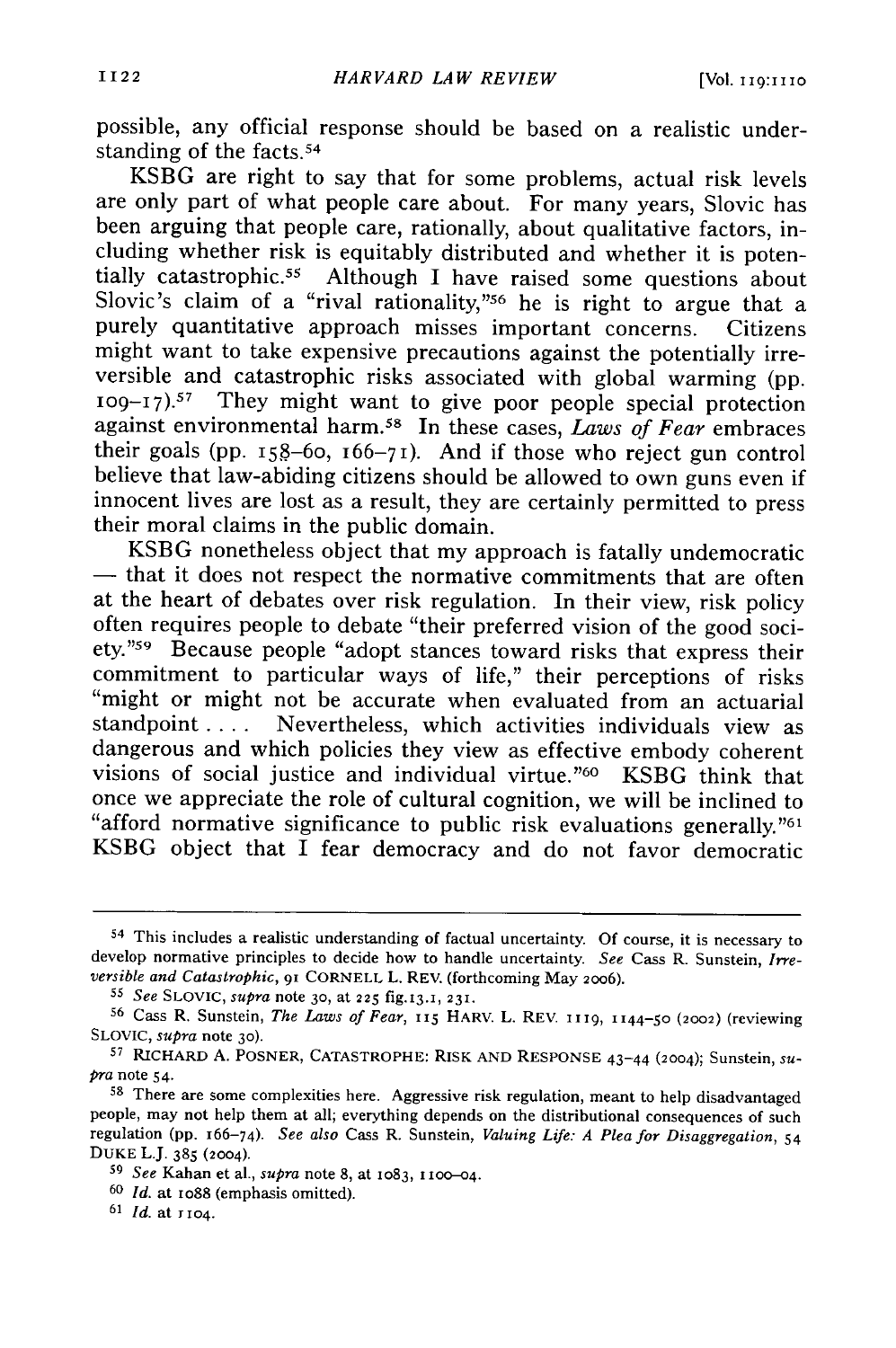possible, any official response should be based on a realistic understanding of the facts.<sup>54</sup>

KSBG are right to say that for some problems, actual risk levels are only part of what people care about. For many years, Slovic has been arguing that people care, rationally, about qualitative factors, including whether risk is equitably distributed and whether it is potentially catastrophic.<sup>55</sup> Although I have raised some questions about Slovic's claim of a "rival rationality,"<sup>56</sup> he is right to argue that a purely quantitative approach misses important concerns. Citizens might want to take expensive precautions against the potentially irreversible and catastrophic risks associated with global warming (pp.  $109-17$ ).<sup>57</sup> They might want to give poor people special protection against environmental harm.<sup>58</sup> In these cases, *Laws of Fear* embraces their goals (pp.  $158-60$ ,  $166-71$ ). And if those who reject gun control believe that law-abiding citizens should be allowed to own guns even if innocent lives are lost as a result, they are certainly permitted to press their moral claims in the public domain.

KSBG nonetheless object that my approach is fatally undemocratic **-** that it does not respect the normative commitments that are often at the heart of debates over risk regulation. In their view, risk policy often requires people to debate "their preferred vision of the good society."<sup>59</sup> Because people "adopt stances toward risks that express their commitment to particular ways of life," their perceptions of risks "might or might not be accurate when evaluated from an actuarial standpoint .... Nevertheless, which activities individuals view as dangerous and which policies they view as effective embody coherent visions of social justice and individual virtue."<sup>60</sup> KSBG think that once we appreciate the role of cultural cognition, we will be inclined to "afford normative significance to public risk evaluations generally."<sup>61</sup> KSBG object that I fear democracy and do not favor democratic

<sup>54</sup> This includes a realistic understanding of factual uncertainty. **Of** course, it is necessary to develop normative principles to decide how to handle uncertainty. See Cass R. Sunstein, *Irreversible and Catastrophic,* 91 CORNELL L. REV. (forthcoming May **2006).**

*<sup>55</sup>See* **SLOVIC,** *supra* note **30,** at **225** fig.13.I, **231.**

**<sup>56</sup>**Cass R. Sunstein, *The Laws of Fear,* **1I5** HARv. L. REV. **119, 1144-50** (2002) (reviewing SLOVIC, *supra* note **30).**

**<sup>57</sup>** RICHARD A. POSNER, CATASTROPHE: RISK AND RESPONSE 43-44 (2oo4); Sunstein, *supra* note 54.

**<sup>58</sup>**There are some complexities here. Aggressive risk regulation, meant to help disadvantaged people, may not help them at all; everything depends on the distributional consequences of such regulation (pp. r66-74). *See also* Cass R. Sunstein, *Valuing Life: A Plea for Disaggregation, 54* DUKE L.J. 385 (2004).

**<sup>59</sup>***See* Kahan et al., *supra* note 8, at 1083, **1100-04.**

<sup>&</sup>lt;sup>60</sup> *Id.* at 1088 (emphasis omitted).

**<sup>61</sup>***Id.* at **1104.**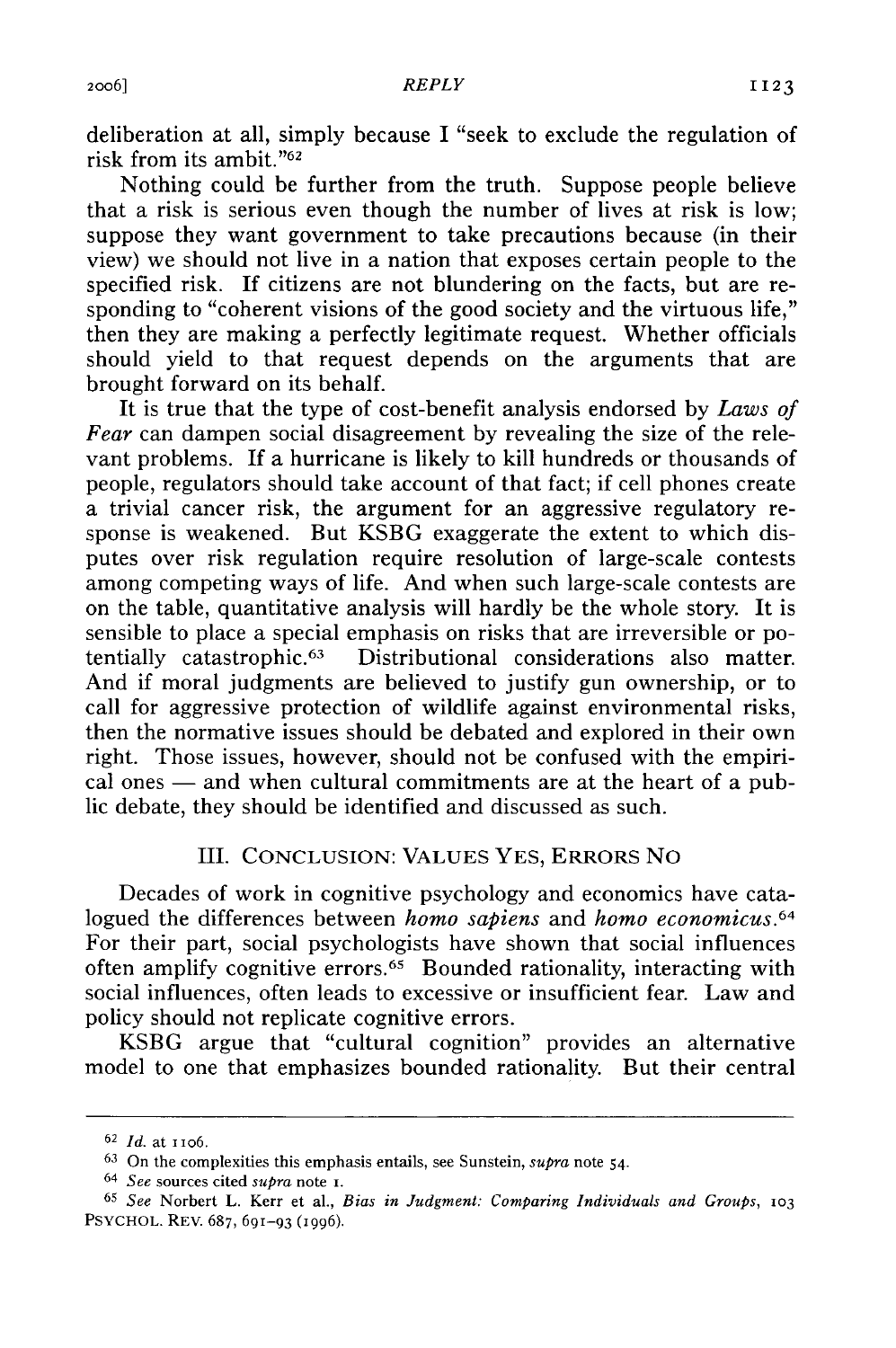deliberation at all, simply because I "seek to exclude the regulation of risk from its ambit."<sup>62</sup>

Nothing could be further from the truth. Suppose people believe that a risk is serious even though the number of lives at risk is low; suppose they want government to take precautions because (in their view) we should not live in a nation that exposes certain people to the specified risk. If citizens are not blundering on the facts, but are responding to "coherent visions of the good society and the virtuous life," then they are making a perfectly legitimate request. Whether officials should yield to that request depends on the arguments that are brought forward on its behalf.

It is true that the type of cost-benefit analysis endorsed by *Laws of Fear* can dampen social disagreement by revealing the size of the relevant problems. If a hurricane is likely to kill hundreds or thousands of people, regulators should take account of that fact; if cell phones create a trivial cancer risk, the argument for an aggressive regulatory response is weakened. But KSBG exaggerate the extent to which disputes over risk regulation require resolution of large-scale contests among competing ways of life. And when such large-scale contests are on the table, quantitative analysis will hardly be the whole story. It is sensible to place a special emphasis on risks that are irreversible or potentially catastrophic. 63 Distributional considerations also matter. And if moral judgments are believed to justify gun ownership, or to call for aggressive protection of wildlife against environmental risks, then the normative issues should be debated and explored in their own right. Those issues, however, should not be confused with the empiri $cal ones$  — and when cultural commitments are at the heart of a public debate, they should be identified and discussed as such.

## III. CONCLUSION: VALUES YES, ERRORS NO

Decades of work in cognitive psychology and economics have catalogued the differences between *homo sapiens* and *homo economicus. <sup>64</sup>* For their part, social psychologists have shown that social influences often amplify cognitive errors.<sup>65</sup> Bounded rationality, interacting with social influences, often leads to excessive or insufficient fear. Law and policy should not replicate cognitive errors.

KSBG argue that "cultural cognition" provides an alternative model to one that emphasizes bounded rationality. But their central

<sup>62</sup>*Id.* at ilo6.

<sup>63</sup> On the complexities this emphasis entails, see Sunstein, *supra* note 54.

<sup>64</sup> See sources cited *supra* note i.

<sup>65</sup>*See* Norbert L. Kerr et al., *Bias in Judgment: Comparing Individuals and Groups, 103* PSYCHOL. REV. 687, 691-93 (1996).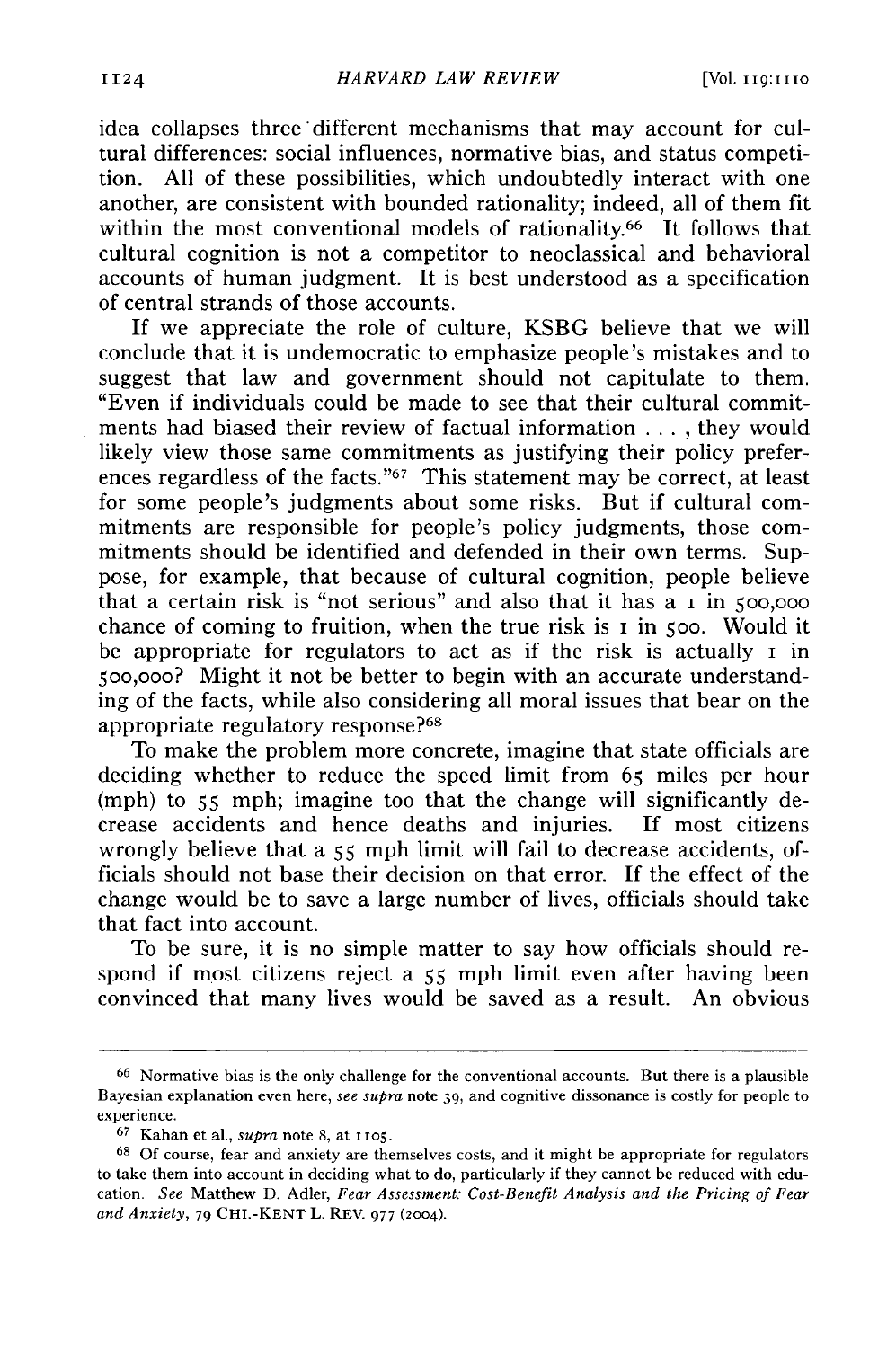idea collapses three different mechanisms that may account for cultural differences: social influences, normative bias, and status competition. All of these possibilities, which undoubtedly interact with one another, are consistent with bounded rationality; indeed, all of them fit within the most conventional models of rationality.<sup>66</sup> It follows that cultural cognition is not a competitor to neoclassical and behavioral accounts of human judgment. It is best understood as a specification of central strands of those accounts.

If we appreciate the role of culture, KSBG believe that we will conclude that it is undemocratic to emphasize people's mistakes and to suggest that law and government should not capitulate to them. "Even if individuals could be made to see that their cultural commitments had biased their review of factual information . . . **,** they would likely view those same commitments as justifying their policy preferences regardless of the facts."<sup>67</sup> This statement may be correct, at least for some people's judgments about some risks. But if cultural commitments are responsible for people's policy judgments, those commitments should be identified and defended in their own terms. Suppose, for example, that because of cultural cognition, people believe that a certain risk is "not serious" and also that it has a i in **500,000** chance of coming to fruition, when the true risk is  $\bar{I}$  in 500. Would it be appropriate for regulators to act as if the risk is actually  $\bar{I}$  in 5oo,ooo? Might it not be better to begin with an accurate understanding of the facts, while also considering all moral issues that bear on the appropriate regulatory response?<sup>68</sup>

To make the problem more concrete, imagine that state officials are deciding whether to reduce the speed limit from 65 miles per hour (mph) to 55 mph; imagine too that the change will significantly decrease accidents and hence deaths and injuries. If most citizens wrongly believe that a 55 mph limit will fail to decrease accidents, officials should not base their decision on that error. If the effect of the change would be to save a large number of lives, officials should take that fact into account.

To be sure, it is no simple matter to say how officials should respond if most citizens reject a 55 mph limit even after having been convinced that many lives would be saved as a result. An obvious

<sup>&</sup>lt;sup>66</sup> Normative bias is the only challenge for the conventional accounts. But there is a plausible Bayesian explanation even here, *see supra* note 39, and cognitive dissonance is costly for people to experience.

**<sup>67</sup>**Kahan et al., *supra* note **8,** at i **<sup>o</sup> <sup>5</sup> .**

**<sup>68</sup>**Of course, fear and anxiety are themselves costs, and it might be appropriate for regulators to take them into account in deciding what to do, particularly if they cannot be reduced with education. *See* Matthew D. Adler, *Fear Assessment: Cost-Benefit Analysis and the Pricing of Fear and Anxiety,* 79 CHI.-KENT L. REV. 977 (2004).